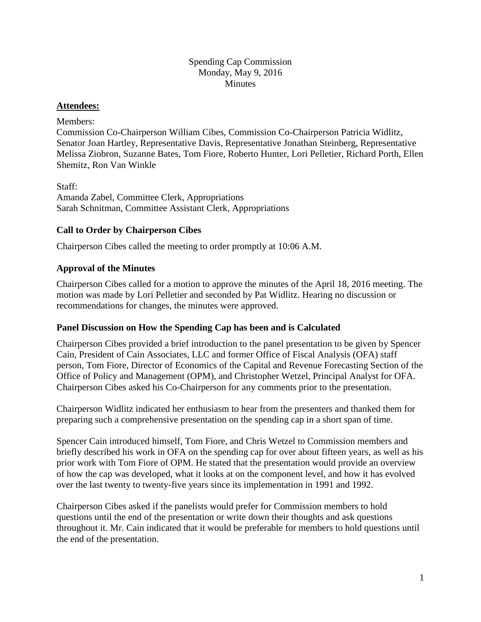### Spending Cap Commission Monday, May 9, 2016 **Minutes**

### **Attendees:**

Members:

Commission Co-Chairperson William Cibes, Commission Co-Chairperson Patricia Widlitz, Senator Joan Hartley, Representative Davis, Representative Jonathan Steinberg, Representative Melissa Ziobron, Suzanne Bates, Tom Fiore, Roberto Hunter, Lori Pelletier, Richard Porth, Ellen Shemitz, Ron Van Winkle

Staff: Amanda Zabel, Committee Clerk, Appropriations Sarah Schnitman, Committee Assistant Clerk, Appropriations

## **Call to Order by Chairperson Cibes**

Chairperson Cibes called the meeting to order promptly at 10:06 A.M.

## **Approval of the Minutes**

Chairperson Cibes called for a motion to approve the minutes of the April 18, 2016 meeting. The motion was made by Lori Pelletier and seconded by Pat Widlitz. Hearing no discussion or recommendations for changes, the minutes were approved.

#### **Panel Discussion on How the Spending Cap has been and is Calculated**

Chairperson Cibes provided a brief introduction to the panel presentation to be given by Spencer Cain, President of Cain Associates, LLC and former Office of Fiscal Analysis (OFA) staff person, Tom Fiore, Director of Economics of the Capital and Revenue Forecasting Section of the Office of Policy and Management (OPM), and Christopher Wetzel, Principal Analyst for OFA. Chairperson Cibes asked his Co-Chairperson for any comments prior to the presentation.

Chairperson Widlitz indicated her enthusiasm to hear from the presenters and thanked them for preparing such a comprehensive presentation on the spending cap in a short span of time.

Spencer Cain introduced himself, Tom Fiore, and Chris Wetzel to Commission members and briefly described his work in OFA on the spending cap for over about fifteen years, as well as his prior work with Tom Fiore of OPM. He stated that the presentation would provide an overview of how the cap was developed, what it looks at on the component level, and how it has evolved over the last twenty to twenty-five years since its implementation in 1991 and 1992.

Chairperson Cibes asked if the panelists would prefer for Commission members to hold questions until the end of the presentation or write down their thoughts and ask questions throughout it. Mr. Cain indicated that it would be preferable for members to hold questions until the end of the presentation.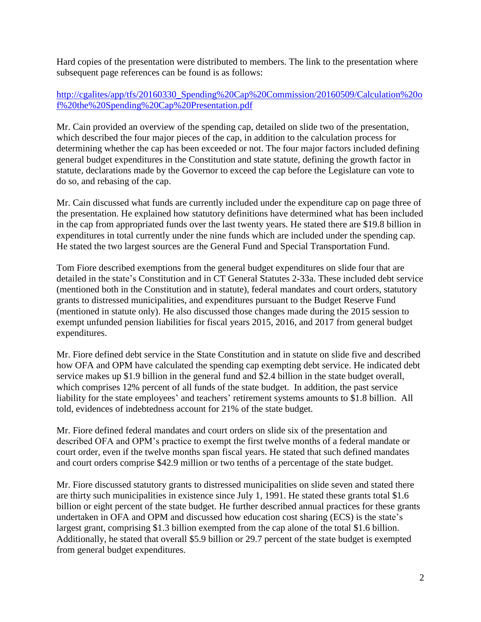Hard copies of the presentation were distributed to members. The link to the presentation where subsequent page references can be found is as follows:

# [http://cgalites/app/tfs/20160330\\_Spending%20Cap%20Commission/20160509/Calculation%20o](http://cgalites/app/tfs/20160330_Spending%20Cap%20Commission/20160509/Calculation%20of%20the%20Spending%20Cap%20Presentation.pdf) [f%20the%20Spending%20Cap%20Presentation.pdf](http://cgalites/app/tfs/20160330_Spending%20Cap%20Commission/20160509/Calculation%20of%20the%20Spending%20Cap%20Presentation.pdf)

Mr. Cain provided an overview of the spending cap, detailed on slide two of the presentation, which described the four major pieces of the cap, in addition to the calculation process for determining whether the cap has been exceeded or not. The four major factors included defining general budget expenditures in the Constitution and state statute, defining the growth factor in statute, declarations made by the Governor to exceed the cap before the Legislature can vote to do so, and rebasing of the cap.

Mr. Cain discussed what funds are currently included under the expenditure cap on page three of the presentation. He explained how statutory definitions have determined what has been included in the cap from appropriated funds over the last twenty years. He stated there are \$19.8 billion in expenditures in total currently under the nine funds which are included under the spending cap. He stated the two largest sources are the General Fund and Special Transportation Fund.

Tom Fiore described exemptions from the general budget expenditures on slide four that are detailed in the state's Constitution and in CT General Statutes 2-33a. These included debt service (mentioned both in the Constitution and in statute), federal mandates and court orders, statutory grants to distressed municipalities, and expenditures pursuant to the Budget Reserve Fund (mentioned in statute only). He also discussed those changes made during the 2015 session to exempt unfunded pension liabilities for fiscal years 2015, 2016, and 2017 from general budget expenditures.

Mr. Fiore defined debt service in the State Constitution and in statute on slide five and described how OFA and OPM have calculated the spending cap exempting debt service. He indicated debt service makes up \$1.9 billion in the general fund and \$2.4 billion in the state budget overall, which comprises 12% percent of all funds of the state budget. In addition, the past service liability for the state employees' and teachers' retirement systems amounts to \$1.8 billion. All told, evidences of indebtedness account for 21% of the state budget.

Mr. Fiore defined federal mandates and court orders on slide six of the presentation and described OFA and OPM's practice to exempt the first twelve months of a federal mandate or court order, even if the twelve months span fiscal years. He stated that such defined mandates and court orders comprise \$42.9 million or two tenths of a percentage of the state budget.

Mr. Fiore discussed statutory grants to distressed municipalities on slide seven and stated there are thirty such municipalities in existence since July 1, 1991. He stated these grants total \$1.6 billion or eight percent of the state budget. He further described annual practices for these grants undertaken in OFA and OPM and discussed how education cost sharing (ECS) is the state's largest grant, comprising \$1.3 billion exempted from the cap alone of the total \$1.6 billion. Additionally, he stated that overall \$5.9 billion or 29.7 percent of the state budget is exempted from general budget expenditures.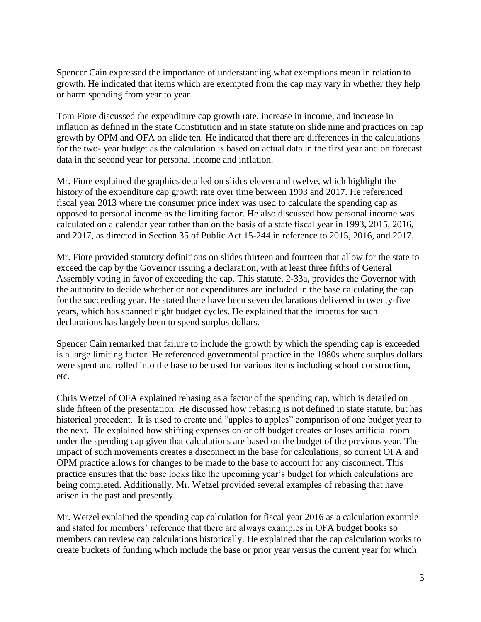Spencer Cain expressed the importance of understanding what exemptions mean in relation to growth. He indicated that items which are exempted from the cap may vary in whether they help or harm spending from year to year.

Tom Fiore discussed the expenditure cap growth rate, increase in income, and increase in inflation as defined in the state Constitution and in state statute on slide nine and practices on cap growth by OPM and OFA on slide ten. He indicated that there are differences in the calculations for the two- year budget as the calculation is based on actual data in the first year and on forecast data in the second year for personal income and inflation.

Mr. Fiore explained the graphics detailed on slides eleven and twelve, which highlight the history of the expenditure cap growth rate over time between 1993 and 2017. He referenced fiscal year 2013 where the consumer price index was used to calculate the spending cap as opposed to personal income as the limiting factor. He also discussed how personal income was calculated on a calendar year rather than on the basis of a state fiscal year in 1993, 2015, 2016, and 2017, as directed in Section 35 of Public Act 15-244 in reference to 2015, 2016, and 2017.

Mr. Fiore provided statutory definitions on slides thirteen and fourteen that allow for the state to exceed the cap by the Governor issuing a declaration, with at least three fifths of General Assembly voting in favor of exceeding the cap. This statute, 2-33a, provides the Governor with the authority to decide whether or not expenditures are included in the base calculating the cap for the succeeding year. He stated there have been seven declarations delivered in twenty-five years, which has spanned eight budget cycles. He explained that the impetus for such declarations has largely been to spend surplus dollars.

Spencer Cain remarked that failure to include the growth by which the spending cap is exceeded is a large limiting factor. He referenced governmental practice in the 1980s where surplus dollars were spent and rolled into the base to be used for various items including school construction, etc.

Chris Wetzel of OFA explained rebasing as a factor of the spending cap, which is detailed on slide fifteen of the presentation. He discussed how rebasing is not defined in state statute, but has historical precedent. It is used to create and "apples to apples" comparison of one budget year to the next. He explained how shifting expenses on or off budget creates or loses artificial room under the spending cap given that calculations are based on the budget of the previous year. The impact of such movements creates a disconnect in the base for calculations, so current OFA and OPM practice allows for changes to be made to the base to account for any disconnect. This practice ensures that the base looks like the upcoming year's budget for which calculations are being completed. Additionally, Mr. Wetzel provided several examples of rebasing that have arisen in the past and presently.

Mr. Wetzel explained the spending cap calculation for fiscal year 2016 as a calculation example and stated for members' reference that there are always examples in OFA budget books so members can review cap calculations historically. He explained that the cap calculation works to create buckets of funding which include the base or prior year versus the current year for which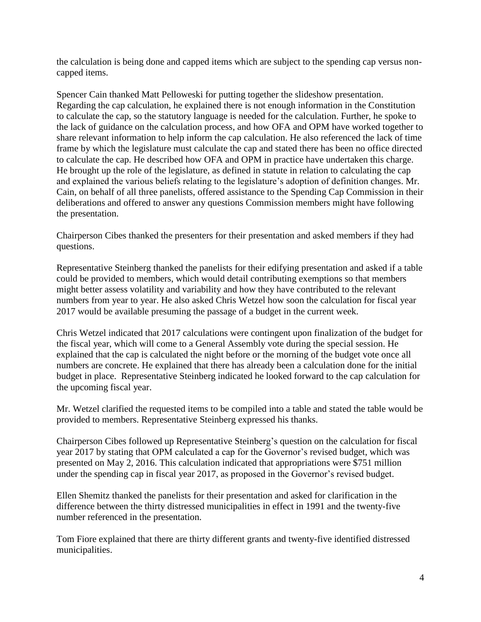the calculation is being done and capped items which are subject to the spending cap versus noncapped items.

Spencer Cain thanked Matt Pelloweski for putting together the slideshow presentation. Regarding the cap calculation, he explained there is not enough information in the Constitution to calculate the cap, so the statutory language is needed for the calculation. Further, he spoke to the lack of guidance on the calculation process, and how OFA and OPM have worked together to share relevant information to help inform the cap calculation. He also referenced the lack of time frame by which the legislature must calculate the cap and stated there has been no office directed to calculate the cap. He described how OFA and OPM in practice have undertaken this charge. He brought up the role of the legislature, as defined in statute in relation to calculating the cap and explained the various beliefs relating to the legislature's adoption of definition changes. Mr. Cain, on behalf of all three panelists, offered assistance to the Spending Cap Commission in their deliberations and offered to answer any questions Commission members might have following the presentation.

Chairperson Cibes thanked the presenters for their presentation and asked members if they had questions.

Representative Steinberg thanked the panelists for their edifying presentation and asked if a table could be provided to members, which would detail contributing exemptions so that members might better assess volatility and variability and how they have contributed to the relevant numbers from year to year. He also asked Chris Wetzel how soon the calculation for fiscal year 2017 would be available presuming the passage of a budget in the current week.

Chris Wetzel indicated that 2017 calculations were contingent upon finalization of the budget for the fiscal year, which will come to a General Assembly vote during the special session. He explained that the cap is calculated the night before or the morning of the budget vote once all numbers are concrete. He explained that there has already been a calculation done for the initial budget in place. Representative Steinberg indicated he looked forward to the cap calculation for the upcoming fiscal year.

Mr. Wetzel clarified the requested items to be compiled into a table and stated the table would be provided to members. Representative Steinberg expressed his thanks.

Chairperson Cibes followed up Representative Steinberg's question on the calculation for fiscal year 2017 by stating that OPM calculated a cap for the Governor's revised budget, which was presented on May 2, 2016. This calculation indicated that appropriations were \$751 million under the spending cap in fiscal year 2017, as proposed in the Governor's revised budget.

Ellen Shemitz thanked the panelists for their presentation and asked for clarification in the difference between the thirty distressed municipalities in effect in 1991 and the twenty-five number referenced in the presentation.

Tom Fiore explained that there are thirty different grants and twenty-five identified distressed municipalities.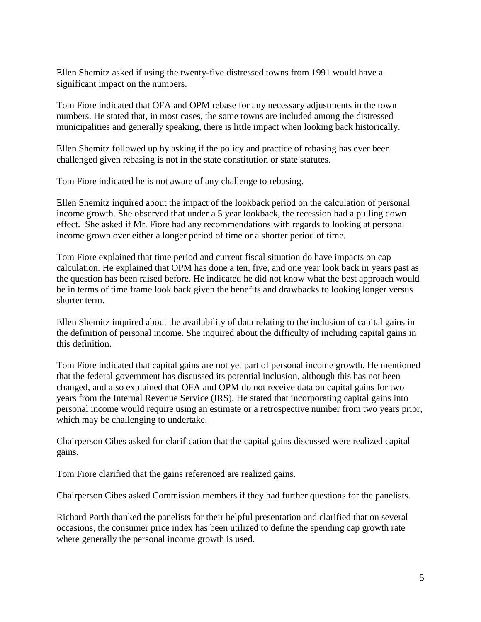Ellen Shemitz asked if using the twenty-five distressed towns from 1991 would have a significant impact on the numbers.

Tom Fiore indicated that OFA and OPM rebase for any necessary adjustments in the town numbers. He stated that, in most cases, the same towns are included among the distressed municipalities and generally speaking, there is little impact when looking back historically.

Ellen Shemitz followed up by asking if the policy and practice of rebasing has ever been challenged given rebasing is not in the state constitution or state statutes.

Tom Fiore indicated he is not aware of any challenge to rebasing.

Ellen Shemitz inquired about the impact of the lookback period on the calculation of personal income growth. She observed that under a 5 year lookback, the recession had a pulling down effect. She asked if Mr. Fiore had any recommendations with regards to looking at personal income grown over either a longer period of time or a shorter period of time.

Tom Fiore explained that time period and current fiscal situation do have impacts on cap calculation. He explained that OPM has done a ten, five, and one year look back in years past as the question has been raised before. He indicated he did not know what the best approach would be in terms of time frame look back given the benefits and drawbacks to looking longer versus shorter term.

Ellen Shemitz inquired about the availability of data relating to the inclusion of capital gains in the definition of personal income. She inquired about the difficulty of including capital gains in this definition.

Tom Fiore indicated that capital gains are not yet part of personal income growth. He mentioned that the federal government has discussed its potential inclusion, although this has not been changed, and also explained that OFA and OPM do not receive data on capital gains for two years from the Internal Revenue Service (IRS). He stated that incorporating capital gains into personal income would require using an estimate or a retrospective number from two years prior, which may be challenging to undertake.

Chairperson Cibes asked for clarification that the capital gains discussed were realized capital gains.

Tom Fiore clarified that the gains referenced are realized gains.

Chairperson Cibes asked Commission members if they had further questions for the panelists.

Richard Porth thanked the panelists for their helpful presentation and clarified that on several occasions, the consumer price index has been utilized to define the spending cap growth rate where generally the personal income growth is used.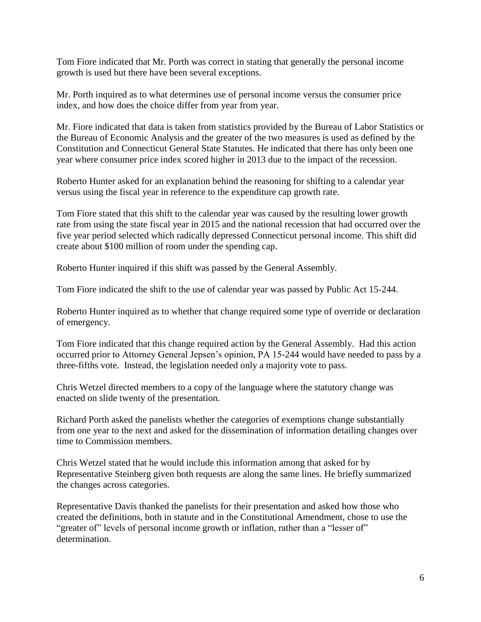Tom Fiore indicated that Mr. Porth was correct in stating that generally the personal income growth is used but there have been several exceptions.

Mr. Porth inquired as to what determines use of personal income versus the consumer price index, and how does the choice differ from year from year.

Mr. Fiore indicated that data is taken from statistics provided by the Bureau of Labor Statistics or the Bureau of Economic Analysis and the greater of the two measures is used as defined by the Constitution and Connecticut General State Statutes. He indicated that there has only been one year where consumer price index scored higher in 2013 due to the impact of the recession.

Roberto Hunter asked for an explanation behind the reasoning for shifting to a calendar year versus using the fiscal year in reference to the expenditure cap growth rate.

Tom Fiore stated that this shift to the calendar year was caused by the resulting lower growth rate from using the state fiscal year in 2015 and the national recession that had occurred over the five year period selected which radically depressed Connecticut personal income. This shift did create about \$100 million of room under the spending cap.

Roberto Hunter inquired if this shift was passed by the General Assembly.

Tom Fiore indicated the shift to the use of calendar year was passed by Public Act 15-244.

Roberto Hunter inquired as to whether that change required some type of override or declaration of emergency.

Tom Fiore indicated that this change required action by the General Assembly. Had this action occurred prior to Attorney General Jepsen's opinion, PA 15-244 would have needed to pass by a three-fifths vote. Instead, the legislation needed only a majority vote to pass.

Chris Wetzel directed members to a copy of the language where the statutory change was enacted on slide twenty of the presentation.

Richard Porth asked the panelists whether the categories of exemptions change substantially from one year to the next and asked for the dissemination of information detailing changes over time to Commission members.

Chris Wetzel stated that he would include this information among that asked for by Representative Steinberg given both requests are along the same lines. He briefly summarized the changes across categories.

Representative Davis thanked the panelists for their presentation and asked how those who created the definitions, both in statute and in the Constitutional Amendment, chose to use the "greater of" levels of personal income growth or inflation, rather than a "lesser of" determination.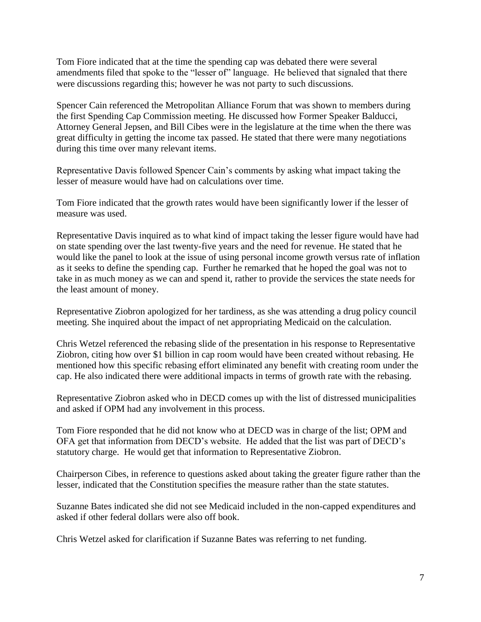Tom Fiore indicated that at the time the spending cap was debated there were several amendments filed that spoke to the "lesser of" language. He believed that signaled that there were discussions regarding this; however he was not party to such discussions.

Spencer Cain referenced the Metropolitan Alliance Forum that was shown to members during the first Spending Cap Commission meeting. He discussed how Former Speaker Balducci, Attorney General Jepsen, and Bill Cibes were in the legislature at the time when the there was great difficulty in getting the income tax passed. He stated that there were many negotiations during this time over many relevant items.

Representative Davis followed Spencer Cain's comments by asking what impact taking the lesser of measure would have had on calculations over time.

Tom Fiore indicated that the growth rates would have been significantly lower if the lesser of measure was used.

Representative Davis inquired as to what kind of impact taking the lesser figure would have had on state spending over the last twenty-five years and the need for revenue. He stated that he would like the panel to look at the issue of using personal income growth versus rate of inflation as it seeks to define the spending cap. Further he remarked that he hoped the goal was not to take in as much money as we can and spend it, rather to provide the services the state needs for the least amount of money.

Representative Ziobron apologized for her tardiness, as she was attending a drug policy council meeting. She inquired about the impact of net appropriating Medicaid on the calculation.

Chris Wetzel referenced the rebasing slide of the presentation in his response to Representative Ziobron, citing how over \$1 billion in cap room would have been created without rebasing. He mentioned how this specific rebasing effort eliminated any benefit with creating room under the cap. He also indicated there were additional impacts in terms of growth rate with the rebasing.

Representative Ziobron asked who in DECD comes up with the list of distressed municipalities and asked if OPM had any involvement in this process.

Tom Fiore responded that he did not know who at DECD was in charge of the list; OPM and OFA get that information from DECD's website. He added that the list was part of DECD's statutory charge. He would get that information to Representative Ziobron.

Chairperson Cibes, in reference to questions asked about taking the greater figure rather than the lesser, indicated that the Constitution specifies the measure rather than the state statutes.

Suzanne Bates indicated she did not see Medicaid included in the non-capped expenditures and asked if other federal dollars were also off book.

Chris Wetzel asked for clarification if Suzanne Bates was referring to net funding.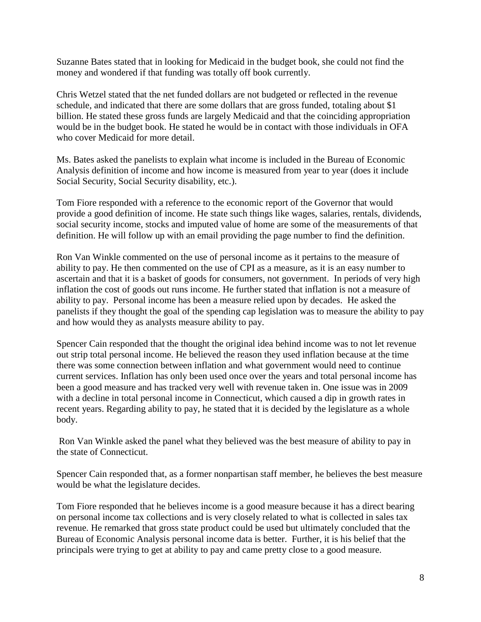Suzanne Bates stated that in looking for Medicaid in the budget book, she could not find the money and wondered if that funding was totally off book currently.

Chris Wetzel stated that the net funded dollars are not budgeted or reflected in the revenue schedule, and indicated that there are some dollars that are gross funded, totaling about \$1 billion. He stated these gross funds are largely Medicaid and that the coinciding appropriation would be in the budget book. He stated he would be in contact with those individuals in OFA who cover Medicaid for more detail.

Ms. Bates asked the panelists to explain what income is included in the Bureau of Economic Analysis definition of income and how income is measured from year to year (does it include Social Security, Social Security disability, etc.).

Tom Fiore responded with a reference to the economic report of the Governor that would provide a good definition of income. He state such things like wages, salaries, rentals, dividends, social security income, stocks and imputed value of home are some of the measurements of that definition. He will follow up with an email providing the page number to find the definition.

Ron Van Winkle commented on the use of personal income as it pertains to the measure of ability to pay. He then commented on the use of CPI as a measure, as it is an easy number to ascertain and that it is a basket of goods for consumers, not government. In periods of very high inflation the cost of goods out runs income. He further stated that inflation is not a measure of ability to pay. Personal income has been a measure relied upon by decades. He asked the panelists if they thought the goal of the spending cap legislation was to measure the ability to pay and how would they as analysts measure ability to pay.

Spencer Cain responded that the thought the original idea behind income was to not let revenue out strip total personal income. He believed the reason they used inflation because at the time there was some connection between inflation and what government would need to continue current services. Inflation has only been used once over the years and total personal income has been a good measure and has tracked very well with revenue taken in. One issue was in 2009 with a decline in total personal income in Connecticut, which caused a dip in growth rates in recent years. Regarding ability to pay, he stated that it is decided by the legislature as a whole body.

Ron Van Winkle asked the panel what they believed was the best measure of ability to pay in the state of Connecticut.

Spencer Cain responded that, as a former nonpartisan staff member, he believes the best measure would be what the legislature decides.

Tom Fiore responded that he believes income is a good measure because it has a direct bearing on personal income tax collections and is very closely related to what is collected in sales tax revenue. He remarked that gross state product could be used but ultimately concluded that the Bureau of Economic Analysis personal income data is better. Further, it is his belief that the principals were trying to get at ability to pay and came pretty close to a good measure.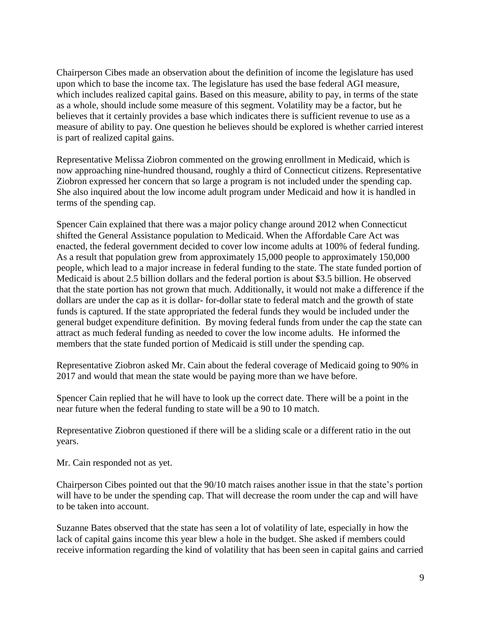Chairperson Cibes made an observation about the definition of income the legislature has used upon which to base the income tax. The legislature has used the base federal AGI measure, which includes realized capital gains. Based on this measure, ability to pay, in terms of the state as a whole, should include some measure of this segment. Volatility may be a factor, but he believes that it certainly provides a base which indicates there is sufficient revenue to use as a measure of ability to pay. One question he believes should be explored is whether carried interest is part of realized capital gains.

Representative Melissa Ziobron commented on the growing enrollment in Medicaid, which is now approaching nine-hundred thousand, roughly a third of Connecticut citizens. Representative Ziobron expressed her concern that so large a program is not included under the spending cap. She also inquired about the low income adult program under Medicaid and how it is handled in terms of the spending cap.

Spencer Cain explained that there was a major policy change around 2012 when Connecticut shifted the General Assistance population to Medicaid. When the Affordable Care Act was enacted, the federal government decided to cover low income adults at 100% of federal funding. As a result that population grew from approximately 15,000 people to approximately 150,000 people, which lead to a major increase in federal funding to the state. The state funded portion of Medicaid is about 2.5 billion dollars and the federal portion is about \$3.5 billion. He observed that the state portion has not grown that much. Additionally, it would not make a difference if the dollars are under the cap as it is dollar- for-dollar state to federal match and the growth of state funds is captured. If the state appropriated the federal funds they would be included under the general budget expenditure definition. By moving federal funds from under the cap the state can attract as much federal funding as needed to cover the low income adults. He informed the members that the state funded portion of Medicaid is still under the spending cap.

Representative Ziobron asked Mr. Cain about the federal coverage of Medicaid going to 90% in 2017 and would that mean the state would be paying more than we have before.

Spencer Cain replied that he will have to look up the correct date. There will be a point in the near future when the federal funding to state will be a 90 to 10 match.

Representative Ziobron questioned if there will be a sliding scale or a different ratio in the out years.

Mr. Cain responded not as yet.

Chairperson Cibes pointed out that the 90/10 match raises another issue in that the state's portion will have to be under the spending cap. That will decrease the room under the cap and will have to be taken into account.

Suzanne Bates observed that the state has seen a lot of volatility of late, especially in how the lack of capital gains income this year blew a hole in the budget. She asked if members could receive information regarding the kind of volatility that has been seen in capital gains and carried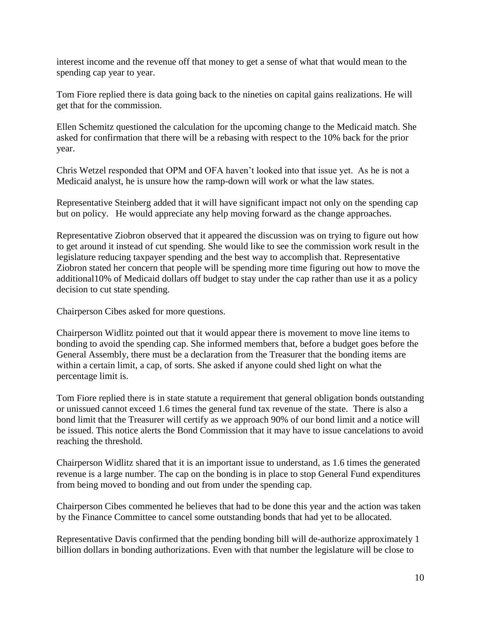interest income and the revenue off that money to get a sense of what that would mean to the spending cap year to year.

Tom Fiore replied there is data going back to the nineties on capital gains realizations. He will get that for the commission.

Ellen Schemitz questioned the calculation for the upcoming change to the Medicaid match. She asked for confirmation that there will be a rebasing with respect to the 10% back for the prior year.

Chris Wetzel responded that OPM and OFA haven't looked into that issue yet. As he is not a Medicaid analyst, he is unsure how the ramp-down will work or what the law states.

Representative Steinberg added that it will have significant impact not only on the spending cap but on policy. He would appreciate any help moving forward as the change approaches.

Representative Ziobron observed that it appeared the discussion was on trying to figure out how to get around it instead of cut spending. She would like to see the commission work result in the legislature reducing taxpayer spending and the best way to accomplish that. Representative Ziobron stated her concern that people will be spending more time figuring out how to move the additional10% of Medicaid dollars off budget to stay under the cap rather than use it as a policy decision to cut state spending.

Chairperson Cibes asked for more questions.

Chairperson Widlitz pointed out that it would appear there is movement to move line items to bonding to avoid the spending cap. She informed members that, before a budget goes before the General Assembly, there must be a declaration from the Treasurer that the bonding items are within a certain limit, a cap, of sorts. She asked if anyone could shed light on what the percentage limit is.

Tom Fiore replied there is in state statute a requirement that general obligation bonds outstanding or unissued cannot exceed 1.6 times the general fund tax revenue of the state. There is also a bond limit that the Treasurer will certify as we approach 90% of our bond limit and a notice will be issued. This notice alerts the Bond Commission that it may have to issue cancelations to avoid reaching the threshold.

Chairperson Widlitz shared that it is an important issue to understand, as 1.6 times the generated revenue is a large number. The cap on the bonding is in place to stop General Fund expenditures from being moved to bonding and out from under the spending cap.

Chairperson Cibes commented he believes that had to be done this year and the action was taken by the Finance Committee to cancel some outstanding bonds that had yet to be allocated.

Representative Davis confirmed that the pending bonding bill will de-authorize approximately 1 billion dollars in bonding authorizations. Even with that number the legislature will be close to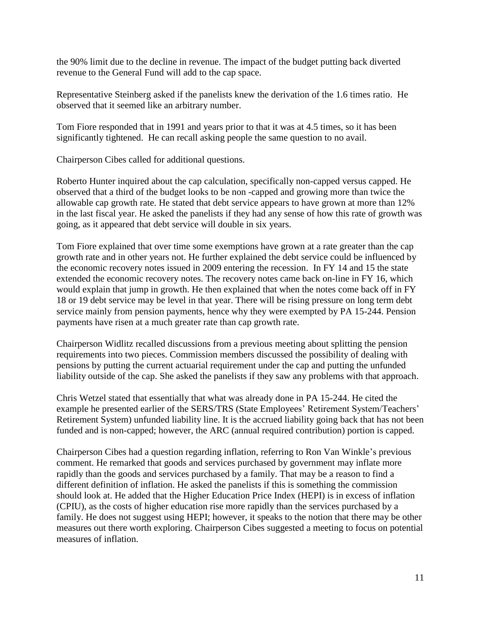the 90% limit due to the decline in revenue. The impact of the budget putting back diverted revenue to the General Fund will add to the cap space.

Representative Steinberg asked if the panelists knew the derivation of the 1.6 times ratio. He observed that it seemed like an arbitrary number.

Tom Fiore responded that in 1991 and years prior to that it was at 4.5 times, so it has been significantly tightened. He can recall asking people the same question to no avail.

Chairperson Cibes called for additional questions.

Roberto Hunter inquired about the cap calculation, specifically non-capped versus capped. He observed that a third of the budget looks to be non -capped and growing more than twice the allowable cap growth rate. He stated that debt service appears to have grown at more than 12% in the last fiscal year. He asked the panelists if they had any sense of how this rate of growth was going, as it appeared that debt service will double in six years.

Tom Fiore explained that over time some exemptions have grown at a rate greater than the cap growth rate and in other years not. He further explained the debt service could be influenced by the economic recovery notes issued in 2009 entering the recession. In FY 14 and 15 the state extended the economic recovery notes. The recovery notes came back on-line in FY 16, which would explain that jump in growth. He then explained that when the notes come back off in FY 18 or 19 debt service may be level in that year. There will be rising pressure on long term debt service mainly from pension payments, hence why they were exempted by PA 15-244. Pension payments have risen at a much greater rate than cap growth rate.

Chairperson Widlitz recalled discussions from a previous meeting about splitting the pension requirements into two pieces. Commission members discussed the possibility of dealing with pensions by putting the current actuarial requirement under the cap and putting the unfunded liability outside of the cap. She asked the panelists if they saw any problems with that approach.

Chris Wetzel stated that essentially that what was already done in PA 15-244. He cited the example he presented earlier of the SERS/TRS (State Employees' Retirement System/Teachers' Retirement System) unfunded liability line. It is the accrued liability going back that has not been funded and is non-capped; however, the ARC (annual required contribution) portion is capped.

Chairperson Cibes had a question regarding inflation, referring to Ron Van Winkle's previous comment. He remarked that goods and services purchased by government may inflate more rapidly than the goods and services purchased by a family. That may be a reason to find a different definition of inflation. He asked the panelists if this is something the commission should look at. He added that the Higher Education Price Index (HEPI) is in excess of inflation (CPIU), as the costs of higher education rise more rapidly than the services purchased by a family. He does not suggest using HEPI; however, it speaks to the notion that there may be other measures out there worth exploring. Chairperson Cibes suggested a meeting to focus on potential measures of inflation.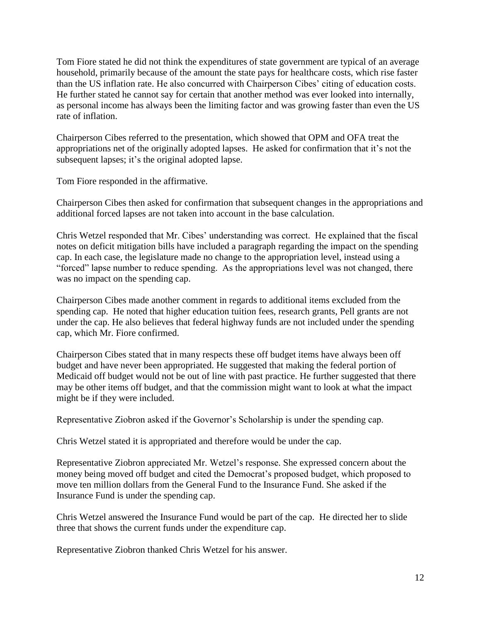Tom Fiore stated he did not think the expenditures of state government are typical of an average household, primarily because of the amount the state pays for healthcare costs, which rise faster than the US inflation rate. He also concurred with Chairperson Cibes' citing of education costs. He further stated he cannot say for certain that another method was ever looked into internally, as personal income has always been the limiting factor and was growing faster than even the US rate of inflation.

Chairperson Cibes referred to the presentation, which showed that OPM and OFA treat the appropriations net of the originally adopted lapses. He asked for confirmation that it's not the subsequent lapses; it's the original adopted lapse.

Tom Fiore responded in the affirmative.

Chairperson Cibes then asked for confirmation that subsequent changes in the appropriations and additional forced lapses are not taken into account in the base calculation.

Chris Wetzel responded that Mr. Cibes' understanding was correct. He explained that the fiscal notes on deficit mitigation bills have included a paragraph regarding the impact on the spending cap. In each case, the legislature made no change to the appropriation level, instead using a "forced" lapse number to reduce spending. As the appropriations level was not changed, there was no impact on the spending cap.

Chairperson Cibes made another comment in regards to additional items excluded from the spending cap. He noted that higher education tuition fees, research grants, Pell grants are not under the cap. He also believes that federal highway funds are not included under the spending cap, which Mr. Fiore confirmed.

Chairperson Cibes stated that in many respects these off budget items have always been off budget and have never been appropriated. He suggested that making the federal portion of Medicaid off budget would not be out of line with past practice. He further suggested that there may be other items off budget, and that the commission might want to look at what the impact might be if they were included.

Representative Ziobron asked if the Governor's Scholarship is under the spending cap.

Chris Wetzel stated it is appropriated and therefore would be under the cap.

Representative Ziobron appreciated Mr. Wetzel's response. She expressed concern about the money being moved off budget and cited the Democrat's proposed budget, which proposed to move ten million dollars from the General Fund to the Insurance Fund. She asked if the Insurance Fund is under the spending cap.

Chris Wetzel answered the Insurance Fund would be part of the cap. He directed her to slide three that shows the current funds under the expenditure cap.

Representative Ziobron thanked Chris Wetzel for his answer.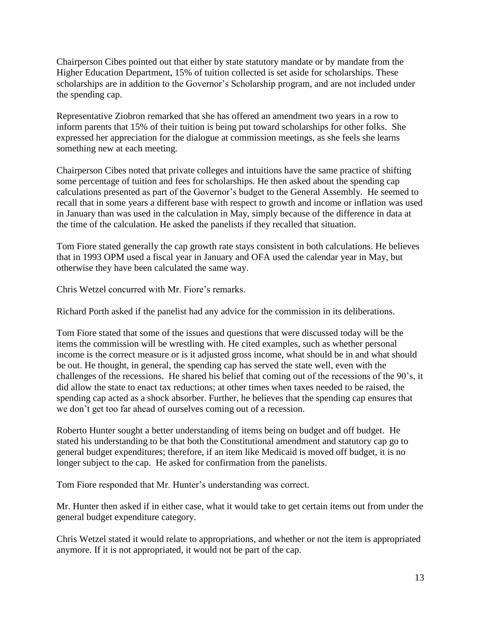Chairperson Cibes pointed out that either by state statutory mandate or by mandate from the Higher Education Department, 15% of tuition collected is set aside for scholarships. These scholarships are in addition to the Governor's Scholarship program, and are not included under the spending cap.

Representative Ziobron remarked that she has offered an amendment two years in a row to inform parents that 15% of their tuition is being put toward scholarships for other folks. She expressed her appreciation for the dialogue at commission meetings, as she feels she learns something new at each meeting.

Chairperson Cibes noted that private colleges and intuitions have the same practice of shifting some percentage of tuition and fees for scholarships. He then asked about the spending cap calculations presented as part of the Governor's budget to the General Assembly. He seemed to recall that in some years a different base with respect to growth and income or inflation was used in January than was used in the calculation in May, simply because of the difference in data at the time of the calculation. He asked the panelists if they recalled that situation.

Tom Fiore stated generally the cap growth rate stays consistent in both calculations. He believes that in 1993 OPM used a fiscal year in January and OFA used the calendar year in May, but otherwise they have been calculated the same way.

Chris Wetzel concurred with Mr. Fiore's remarks.

Richard Porth asked if the panelist had any advice for the commission in its deliberations.

Tom Fiore stated that some of the issues and questions that were discussed today will be the items the commission will be wrestling with. He cited examples, such as whether personal income is the correct measure or is it adjusted gross income, what should be in and what should be out. He thought, in general, the spending cap has served the state well, even with the challenges of the recessions. He shared his belief that coming out of the recessions of the 90's, it did allow the state to enact tax reductions; at other times when taxes needed to be raised, the spending cap acted as a shock absorber. Further, he believes that the spending cap ensures that we don't get too far ahead of ourselves coming out of a recession.

Roberto Hunter sought a better understanding of items being on budget and off budget. He stated his understanding to be that both the Constitutional amendment and statutory cap go to general budget expenditures; therefore, if an item like Medicaid is moved off budget, it is no longer subject to the cap. He asked for confirmation from the panelists.

Tom Fiore responded that Mr. Hunter's understanding was correct.

Mr. Hunter then asked if in either case, what it would take to get certain items out from under the general budget expenditure category.

Chris Wetzel stated it would relate to appropriations, and whether or not the item is appropriated anymore. If it is not appropriated, it would not be part of the cap.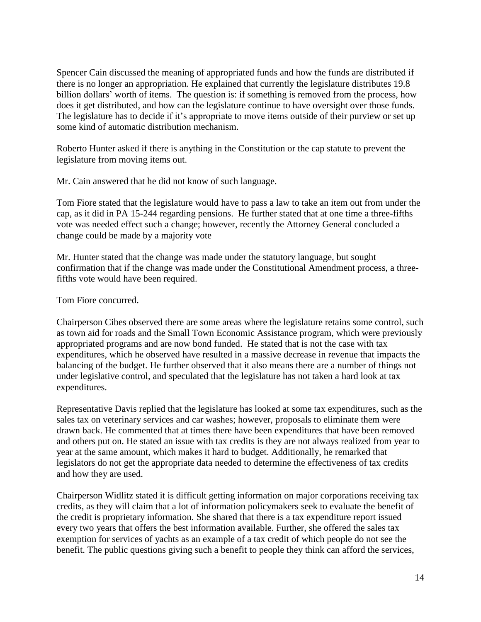Spencer Cain discussed the meaning of appropriated funds and how the funds are distributed if there is no longer an appropriation. He explained that currently the legislature distributes 19.8 billion dollars' worth of items. The question is: if something is removed from the process, how does it get distributed, and how can the legislature continue to have oversight over those funds. The legislature has to decide if it's appropriate to move items outside of their purview or set up some kind of automatic distribution mechanism.

Roberto Hunter asked if there is anything in the Constitution or the cap statute to prevent the legislature from moving items out.

Mr. Cain answered that he did not know of such language.

Tom Fiore stated that the legislature would have to pass a law to take an item out from under the cap, as it did in PA 15-244 regarding pensions. He further stated that at one time a three-fifths vote was needed effect such a change; however, recently the Attorney General concluded a change could be made by a majority vote

Mr. Hunter stated that the change was made under the statutory language, but sought confirmation that if the change was made under the Constitutional Amendment process, a threefifths vote would have been required.

Tom Fiore concurred.

Chairperson Cibes observed there are some areas where the legislature retains some control, such as town aid for roads and the Small Town Economic Assistance program, which were previously appropriated programs and are now bond funded. He stated that is not the case with tax expenditures, which he observed have resulted in a massive decrease in revenue that impacts the balancing of the budget. He further observed that it also means there are a number of things not under legislative control, and speculated that the legislature has not taken a hard look at tax expenditures.

Representative Davis replied that the legislature has looked at some tax expenditures, such as the sales tax on veterinary services and car washes; however, proposals to eliminate them were drawn back. He commented that at times there have been expenditures that have been removed and others put on. He stated an issue with tax credits is they are not always realized from year to year at the same amount, which makes it hard to budget. Additionally, he remarked that legislators do not get the appropriate data needed to determine the effectiveness of tax credits and how they are used.

Chairperson Widlitz stated it is difficult getting information on major corporations receiving tax credits, as they will claim that a lot of information policymakers seek to evaluate the benefit of the credit is proprietary information. She shared that there is a tax expenditure report issued every two years that offers the best information available. Further, she offered the sales tax exemption for services of yachts as an example of a tax credit of which people do not see the benefit. The public questions giving such a benefit to people they think can afford the services,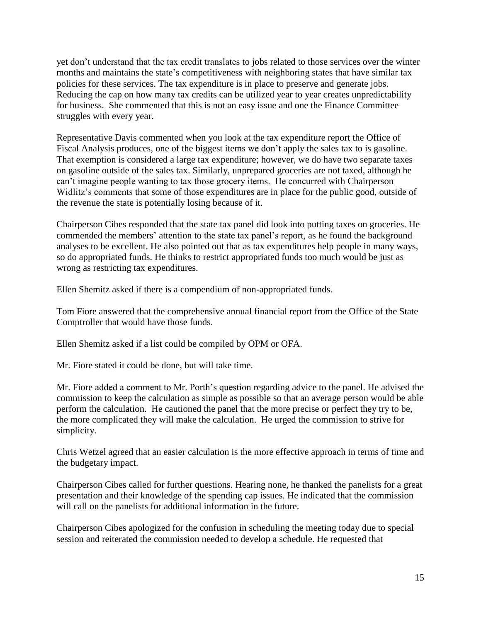yet don't understand that the tax credit translates to jobs related to those services over the winter months and maintains the state's competitiveness with neighboring states that have similar tax policies for these services. The tax expenditure is in place to preserve and generate jobs. Reducing the cap on how many tax credits can be utilized year to year creates unpredictability for business. She commented that this is not an easy issue and one the Finance Committee struggles with every year.

Representative Davis commented when you look at the tax expenditure report the Office of Fiscal Analysis produces, one of the biggest items we don't apply the sales tax to is gasoline. That exemption is considered a large tax expenditure; however, we do have two separate taxes on gasoline outside of the sales tax. Similarly, unprepared groceries are not taxed, although he can't imagine people wanting to tax those grocery items. He concurred with Chairperson Widlitz's comments that some of those expenditures are in place for the public good, outside of the revenue the state is potentially losing because of it.

Chairperson Cibes responded that the state tax panel did look into putting taxes on groceries. He commended the members' attention to the state tax panel's report, as he found the background analyses to be excellent. He also pointed out that as tax expenditures help people in many ways, so do appropriated funds. He thinks to restrict appropriated funds too much would be just as wrong as restricting tax expenditures.

Ellen Shemitz asked if there is a compendium of non-appropriated funds.

Tom Fiore answered that the comprehensive annual financial report from the Office of the State Comptroller that would have those funds.

Ellen Shemitz asked if a list could be compiled by OPM or OFA.

Mr. Fiore stated it could be done, but will take time.

Mr. Fiore added a comment to Mr. Porth's question regarding advice to the panel. He advised the commission to keep the calculation as simple as possible so that an average person would be able perform the calculation. He cautioned the panel that the more precise or perfect they try to be, the more complicated they will make the calculation. He urged the commission to strive for simplicity.

Chris Wetzel agreed that an easier calculation is the more effective approach in terms of time and the budgetary impact.

Chairperson Cibes called for further questions. Hearing none, he thanked the panelists for a great presentation and their knowledge of the spending cap issues. He indicated that the commission will call on the panelists for additional information in the future.

Chairperson Cibes apologized for the confusion in scheduling the meeting today due to special session and reiterated the commission needed to develop a schedule. He requested that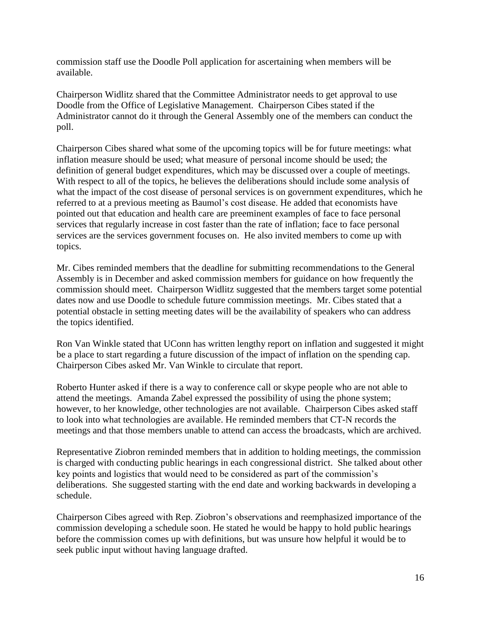commission staff use the Doodle Poll application for ascertaining when members will be available.

Chairperson Widlitz shared that the Committee Administrator needs to get approval to use Doodle from the Office of Legislative Management. Chairperson Cibes stated if the Administrator cannot do it through the General Assembly one of the members can conduct the poll.

Chairperson Cibes shared what some of the upcoming topics will be for future meetings: what inflation measure should be used; what measure of personal income should be used; the definition of general budget expenditures, which may be discussed over a couple of meetings. With respect to all of the topics, he believes the deliberations should include some analysis of what the impact of the cost disease of personal services is on government expenditures, which he referred to at a previous meeting as Baumol's cost disease. He added that economists have pointed out that education and health care are preeminent examples of face to face personal services that regularly increase in cost faster than the rate of inflation; face to face personal services are the services government focuses on. He also invited members to come up with topics.

Mr. Cibes reminded members that the deadline for submitting recommendations to the General Assembly is in December and asked commission members for guidance on how frequently the commission should meet. Chairperson Widlitz suggested that the members target some potential dates now and use Doodle to schedule future commission meetings. Mr. Cibes stated that a potential obstacle in setting meeting dates will be the availability of speakers who can address the topics identified.

Ron Van Winkle stated that UConn has written lengthy report on inflation and suggested it might be a place to start regarding a future discussion of the impact of inflation on the spending cap. Chairperson Cibes asked Mr. Van Winkle to circulate that report.

Roberto Hunter asked if there is a way to conference call or skype people who are not able to attend the meetings. Amanda Zabel expressed the possibility of using the phone system; however, to her knowledge, other technologies are not available. Chairperson Cibes asked staff to look into what technologies are available. He reminded members that CT-N records the meetings and that those members unable to attend can access the broadcasts, which are archived.

Representative Ziobron reminded members that in addition to holding meetings, the commission is charged with conducting public hearings in each congressional district. She talked about other key points and logistics that would need to be considered as part of the commission's deliberations. She suggested starting with the end date and working backwards in developing a schedule.

Chairperson Cibes agreed with Rep. Ziobron's observations and reemphasized importance of the commission developing a schedule soon. He stated he would be happy to hold public hearings before the commission comes up with definitions, but was unsure how helpful it would be to seek public input without having language drafted.